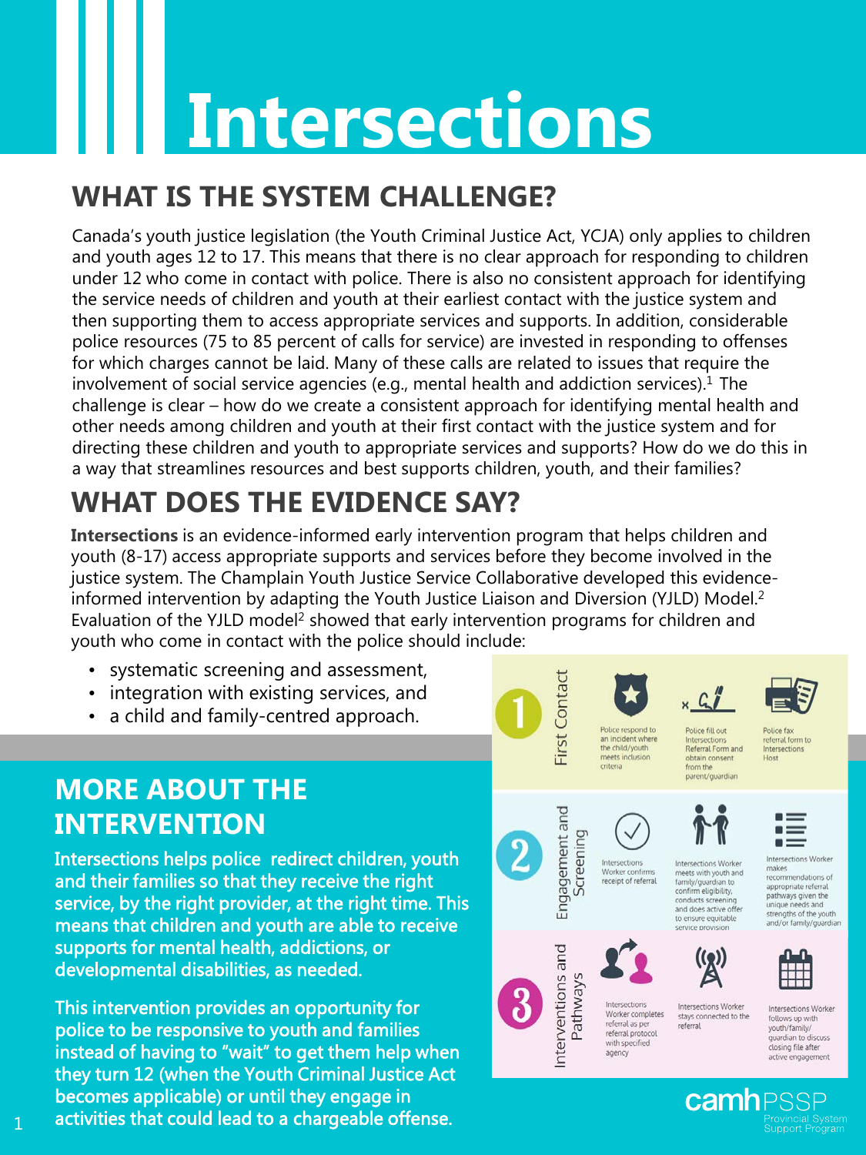# **Intersections**

## **WHAT IS THE SYSTEM CHALLENGE?**

Canada's youth justice legislation (the Youth Criminal Justice Act, YCJA) only applies to children and youth ages 12 to 17. This means that there is no clear approach for responding to children under 12 who come in contact with police. There is also no consistent approach for identifying the service needs of children and youth at their earliest contact with the justice system and then supporting them to access appropriate services and supports. In addition, considerable police resources (75 to 85 percent of calls for service) are invested in responding to offenses for which charges cannot be laid. Many of these calls are related to issues that require the involvement of social service agencies (e.g., mental health and addiction services).<sup>1</sup> The challenge is clear – how do we create a consistent approach for identifying mental health and other needs among children and youth at their first contact with the justice system and for directing these children and youth to appropriate services and supports? How do we do this in a way that streamlines resources and best supports children, youth, and their families?

# **WHAT DOES THE EVIDENCE SAY?**

**Intersections** is an evidence-informed early intervention program that helps children and youth (8-17) access appropriate supports and services before they become involved in the justice system. The Champlain Youth Justice Service Collaborative developed this evidenceinformed intervention by adapting the Youth Justice Liaison and Diversion (YJLD) Model.2 Evaluation of the YJLD model<sup>2</sup> showed that early intervention programs for children and youth who come in contact with the police should include:

- systematic screening and assessment,
- integration with existing services, and
- a child and family-centred approach.

#### **MORE ABOUT THE INTERVENTION**

Intersections helps police redirect children, youth and their families so that they receive the right service, by the right provider, at the right time. This means that children and youth are able to receive supports for mental health, addictions, or developmental disabilities, as needed.

This intervention provides an opportunity for police to be responsive to youth and families instead of having to "wait" to get them help when they turn 12 (when the Youth Criminal Justice Act becomes applicable) or until they engage in activities that could lead to a chargeable offense.